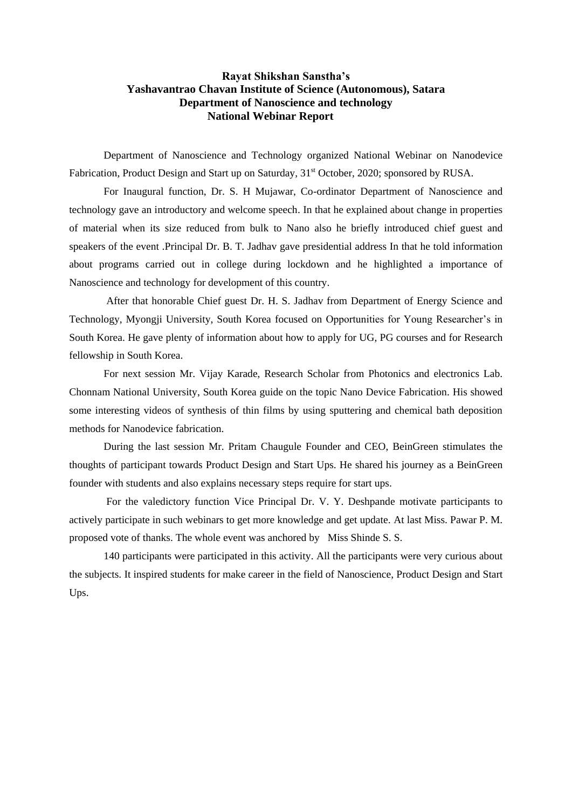## **Rayat Shikshan Sanstha's Yashavantrao Chavan Institute of Science (Autonomous), Satara Department of Nanoscience and technology National Webinar Report**

Department of Nanoscience and Technology organized National Webinar on Nanodevice Fabrication, Product Design and Start up on Saturday, 31<sup>st</sup> October, 2020; sponsored by RUSA.

For Inaugural function, Dr. S. H Mujawar, Co-ordinator Department of Nanoscience and technology gave an introductory and welcome speech. In that he explained about change in properties of material when its size reduced from bulk to Nano also he briefly introduced chief guest and speakers of the event .Principal Dr. B. T. Jadhav gave presidential address In that he told information about programs carried out in college during lockdown and he highlighted a importance of Nanoscience and technology for development of this country.

After that honorable Chief guest Dr. H. S. Jadhav from Department of Energy Science and Technology, Myongji University, South Korea focused on Opportunities for Young Researcher's in South Korea. He gave plenty of information about how to apply for UG, PG courses and for Research fellowship in South Korea.

For next session Mr. Vijay Karade, Research Scholar from Photonics and electronics Lab. Chonnam National University, South Korea guide on the topic Nano Device Fabrication. His showed some interesting videos of synthesis of thin films by using sputtering and chemical bath deposition methods for Nanodevice fabrication.

During the last session Mr. Pritam Chaugule Founder and CEO, BeinGreen stimulates the thoughts of participant towards Product Design and Start Ups. He shared his journey as a BeinGreen founder with students and also explains necessary steps require for start ups.

For the valedictory function Vice Principal Dr. V. Y. Deshpande motivate participants to actively participate in such webinars to get more knowledge and get update. At last Miss. Pawar P. M. proposed vote of thanks. The whole event was anchored by Miss Shinde S. S.

140 participants were participated in this activity. All the participants were very curious about the subjects. It inspired students for make career in the field of Nanoscience, Product Design and Start Ups.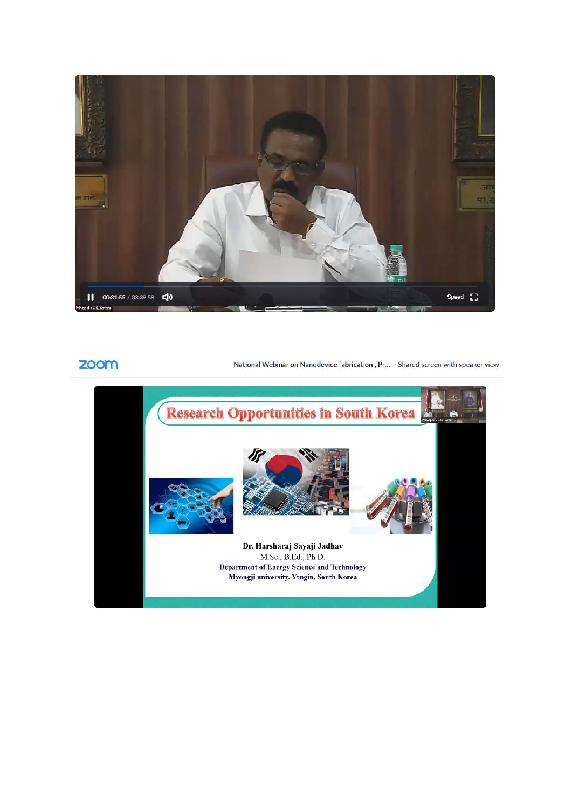

## zoom

National Webinar on Nanodevice fabrication, Pr... - Shared screen with speaker view